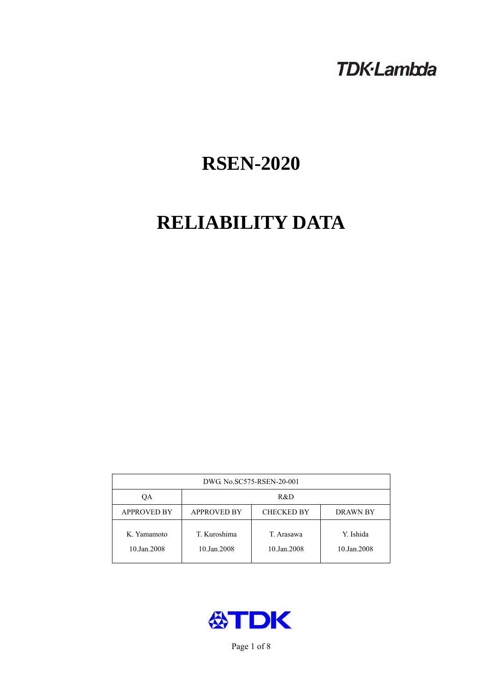# **TDK-Lambda**

# **RSEN-2020**

# **RELIABILITY DATA**

| DWG No.SC575-RSEN-20-001   |                                                            |                           |                          |  |  |
|----------------------------|------------------------------------------------------------|---------------------------|--------------------------|--|--|
| QA                         | R&D                                                        |                           |                          |  |  |
| <b>APPROVED BY</b>         | <b>APPROVED BY</b><br><b>CHECKED BY</b><br><b>DRAWN BY</b> |                           |                          |  |  |
| K. Yamamoto<br>10.Jan.2008 | T. Kuroshima<br>10.Jan.2008                                | T. Arasawa<br>10.Jan.2008 | Y. Ishida<br>10.Jan.2008 |  |  |



Page 1 of 8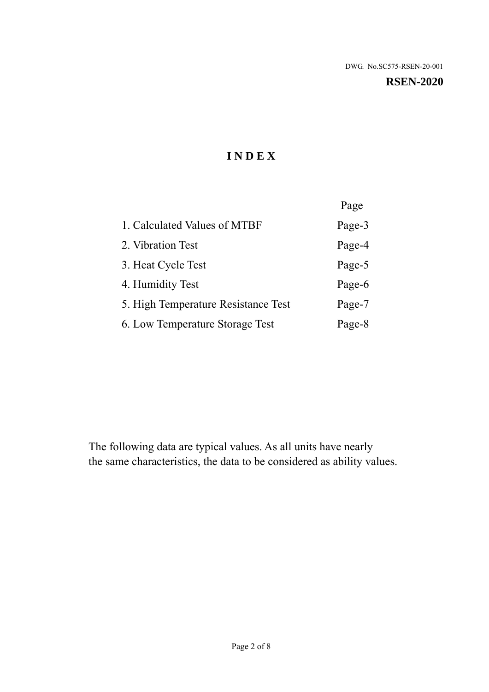### **RSEN-2020**

# **I N D E X**

|                                     | Page   |
|-------------------------------------|--------|
| 1. Calculated Values of MTBF        | Page-3 |
| 2. Vibration Test                   | Page-4 |
| 3. Heat Cycle Test                  | Page-5 |
| 4. Humidity Test                    | Page-6 |
| 5. High Temperature Resistance Test | Page-7 |
| 6. Low Temperature Storage Test     | Page-8 |

The following data are typical values. As all units have nearly the same characteristics, the data to be considered as ability values.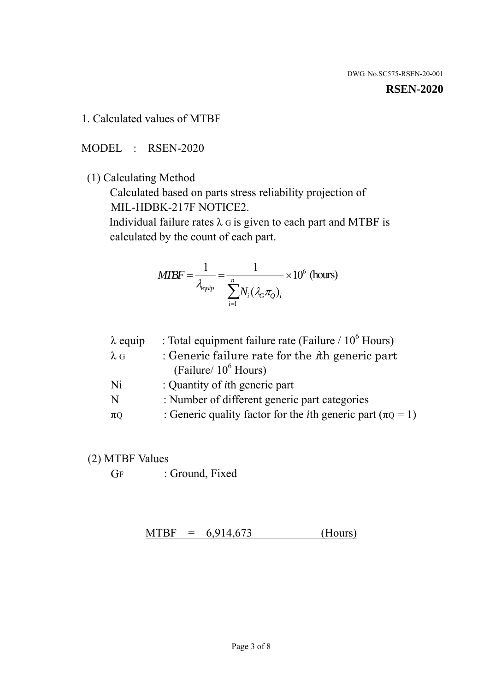#### **RSEN-2020**

1. Calculated values of MTBF

MODEL : RSEN-2020

(1) Calculating Method

 Calculated based on parts stress reliability projection of MIL-HDBK-217F NOTICE2.

Individual failure rates  $\lambda$  G is given to each part and MTBF is calculated by the count of each part.

$$
MTBF = \frac{1}{\lambda_{\text{equip}}} = \frac{1}{\sum_{i=1}^{n} N_i (\lambda_G \pi_Q)_i} \times 10^6 \text{ (hours)}
$$

| $\lambda$ equip | : Total equipment failure rate (Failure $/ 10^6$ Hours)                   |
|-----------------|---------------------------------------------------------------------------|
| $\lambda$ G     | : Generic failure rate for the $\hbar$ generic part                       |
|                 | (Failure/ $10^6$ Hours)                                                   |
| Ni              | : Quantity of <i>i</i> th generic part                                    |
| N               | : Number of different generic part categories                             |
| $\pi$ Q         | : Generic quality factor for the <i>i</i> th generic part ( $\pi Q = 1$ ) |

- (2) MTBF Values
	- GF : Ground, Fixed

 $MTBF = 6,914,673$  (Hours)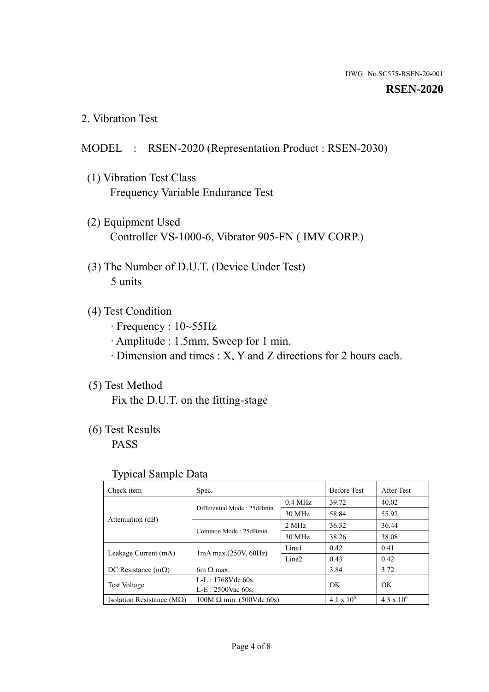### **RSEN-2020**

2. Vibration Test

## MODEL : RSEN-2020 (Representation Product : RSEN-2030)

- (1) Vibration Test Class Frequency Variable Endurance Test
- (2) Equipment Used Controller VS-1000-6, Vibrator 905-FN ( IMV CORP.)
- (3) The Number of D.U.T. (Device Under Test) 5 units
- (4) Test Condition
	- · Frequency : 10~55Hz
	- · Amplitude : 1.5mm, Sweep for 1 min.
	- · Dimension and times : X, Y and Z directions for 2 hours each.

## (5) Test Method

Fix the D.U.T. on the fitting-stage

# (6) Test Results

PASS

## Typical Sample Data

| . .                           |                                                         |           |                     |                     |
|-------------------------------|---------------------------------------------------------|-----------|---------------------|---------------------|
| Check item                    | Spec.                                                   |           | <b>Before Test</b>  | After Test          |
|                               | Differential Mode: 25dBmin.                             | $0.4$ MHz | 39.72               | 40.02               |
|                               |                                                         | 30 MHz    | 58.84               | 55.92               |
| Attenuation (dB)              | Common Mode: 25dBmin.                                   | 2 MHz     | 36.32               | 36.44               |
|                               |                                                         | 30 MHz    | 38.26               | 38.08               |
| Leakage Current (mA)          | Line1<br>$1mA$ max. $(250V, 60Hz)$<br>Line <sub>2</sub> |           | 0.42                | 0.41                |
|                               |                                                         |           | 0.43                | 0.42                |
| DC Resistance $(m\Omega)$     | 6m $\Omega$ max.                                        |           | 3.84                | 3.72                |
| <b>Test Voltage</b>           | $L-L: 1768Vdc$ 60s.                                     |           | OK                  | OK.                 |
|                               | $L-E$ : 2500Vac 60s.                                    |           |                     |                     |
| Isolation Resistance ( $MQ$ ) | $100M \Omega$ min. (500Vdc 60s)                         |           | $4.1 \times 10^{6}$ | $4.3 \times 10^{6}$ |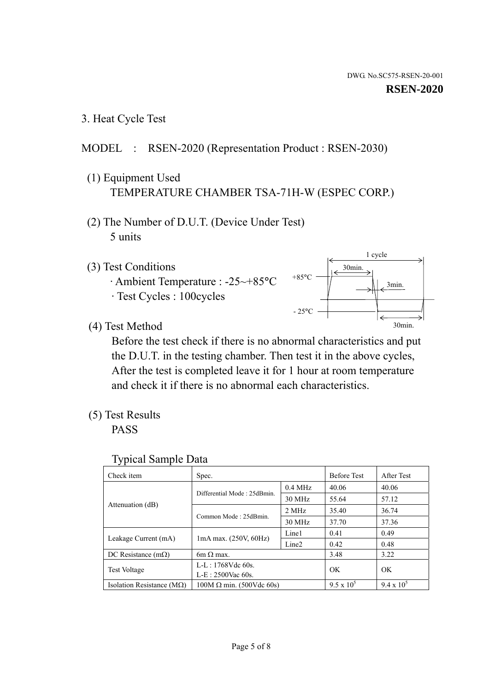3. Heat Cycle Test

## MODEL : RSEN-2020 (Representation Product : RSEN-2030)

- (1) Equipment Used TEMPERATURE CHAMBER TSA-71H-W (ESPEC CORP.)
- (2) The Number of D.U.T. (Device Under Test) 5 units
- (3) Test Conditions
	- · Ambient Temperature : -25~+85°C · Test Cycles : 100cycles



(4) Test Method

 Before the test check if there is no abnormal characteristics and put the D.U.T. in the testing chamber. Then test it in the above cycles, After the test is completed leave it for 1 hour at room temperature and check it if there is no abnormal each characteristics.

(5) Test Results

PASS

| <b>Typical Sample Data</b> |  |  |
|----------------------------|--|--|
|----------------------------|--|--|

| Check item                    | Spec.                                                   |           | <b>Before Test</b> | After Test        |
|-------------------------------|---------------------------------------------------------|-----------|--------------------|-------------------|
|                               |                                                         | $0.4$ MHz | 40.06              | 40.06             |
|                               | Differential Mode: 25dBmin.                             | 30 MHz    | 55.64              | 57.12             |
| Attenuation (dB)              | Common Mode: 25dBmin.                                   | 2 MHz     | 35.40              | 36.74             |
|                               |                                                         | 30 MHz    | 37.70              | 37.36             |
|                               | Line1<br>$1mA$ max. $(250V, 60Hz)$<br>Line <sub>2</sub> |           | 0.41               | 0.49              |
| Leakage Current (mA)          |                                                         |           | 0.42               | 0.48              |
| DC Resistance $(m\Omega)$     | $6m \Omega$ max.                                        |           | 3.48               | 3.22              |
|                               | L-L: $1768V$ de $60s$ .                                 |           | OK                 | OK                |
| <b>Test Voltage</b>           | $L-E: 2500$ Vac 60s.                                    |           |                    |                   |
| Isolation Resistance ( $MQ$ ) | $100M \Omega$ min. (500Vdc 60s)                         |           | $9.5 \times 10^5$  | $9.4 \times 10^5$ |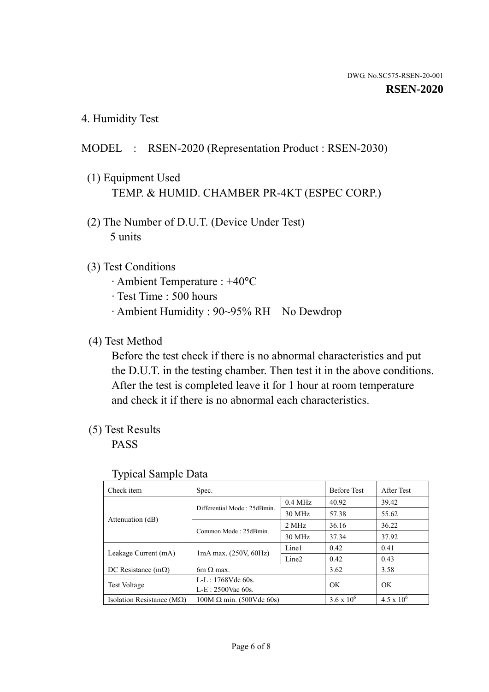4. Humidity Test

## MODEL : RSEN-2020 (Representation Product : RSEN-2030)

- (1) Equipment Used TEMP. & HUMID. CHAMBER PR-4KT (ESPEC CORP.)
- (2) The Number of D.U.T. (Device Under Test) 5 units

## (3) Test Conditions

- · Ambient Temperature : +40°C
- · Test Time : 500 hours
- · Ambient Humidity : 90~95% RH No Dewdrop

## (4) Test Method

 Before the test check if there is no abnormal characteristics and put the D.U.T. in the testing chamber. Then test it in the above conditions. After the test is completed leave it for 1 hour at room temperature and check it if there is no abnormal each characteristics.

## (5) Test Results

PASS

| . .                                |                                 |                   |                     |                     |
|------------------------------------|---------------------------------|-------------------|---------------------|---------------------|
| Check item                         | Spec.                           |                   | <b>Before Test</b>  | After Test          |
|                                    | Differential Mode: 25dBmin.     | $0.4$ MHz         | 40.92               | 39.42               |
|                                    |                                 | 30 MHz            | 57.38               | 55.62               |
| Attenuation (dB)                   | Common Mode: 25dBmin.           | 2 MHz             | 36.16               | 36.22               |
|                                    |                                 | 30 MHz            | 37.34               | 37.92               |
| Leakage Current (mA)               | $1mA$ max. $(250V, 60Hz)$       | Line1             | 0.42                | 0.41                |
|                                    |                                 | Line <sub>2</sub> | 0.42                | 0.43                |
| DC Resistance $(m\Omega)$          | 6m $\Omega$ max.                |                   | 3.62                | 3.58                |
| <b>Test Voltage</b>                | $L-L: 1768Vdc$ 60s.             |                   | OK                  | OK                  |
|                                    | $L-E: 2500$ Vac 60s.            |                   |                     |                     |
| Isolation Resistance ( $M\Omega$ ) | $100M \Omega$ min. (500Vdc 60s) |                   | $3.6 \times 10^{6}$ | $4.5 \times 10^{6}$ |

### Typical Sample Data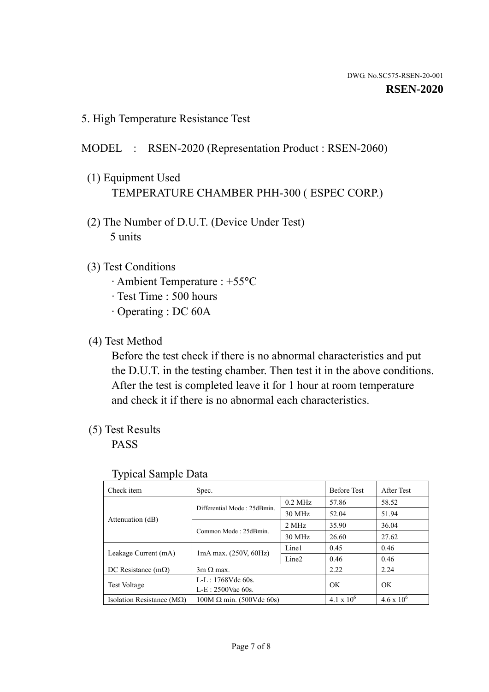5. High Temperature Resistance Test

## MODEL : RSEN-2020 (Representation Product : RSEN-2060)

- (1) Equipment Used TEMPERATURE CHAMBER PHH-300 ( ESPEC CORP.)
- (2) The Number of D.U.T. (Device Under Test) 5 units
- (3) Test Conditions
	- · Ambient Temperature : +55°C
	- · Test Time : 500 hours
	- · Operating : DC 60A
- (4) Test Method

 Before the test check if there is no abnormal characteristics and put the D.U.T. in the testing chamber. Then test it in the above conditions. After the test is completed leave it for 1 hour at room temperature and check it if there is no abnormal each characteristics.

(5) Test Results

PASS

| J 1                                |                                                                                 |           |                     |                     |
|------------------------------------|---------------------------------------------------------------------------------|-----------|---------------------|---------------------|
| Check item                         | Spec.                                                                           |           | <b>Before Test</b>  | After Test          |
|                                    | Differential Mode: 25dBmin.                                                     | $0.2$ MHz | 57.86               | 58.52               |
|                                    |                                                                                 | 30 MHz    | 52.04               | 51.94               |
| Attenuation (dB)                   | Common Mode: 25dBmin.                                                           | 2 MHz     | 35.90               | 36.04               |
|                                    |                                                                                 | 30 MHz    | 26.60               | 27.62               |
|                                    | Line1<br>$1mA$ max. $(250V, 60Hz)$<br>Leakage Current (mA)<br>Line <sub>2</sub> |           | 0.45                | 0.46                |
|                                    |                                                                                 |           | 0.46                | 0.46                |
| DC Resistance $(m\Omega)$          | $3m \Omega$ max.                                                                |           | 2.22                | 2.24                |
|                                    | $L-L: 1768Vdc$ 60s.                                                             |           | OK                  | OK                  |
|                                    | <b>Test Voltage</b><br>$L-E$ : 2500Vac 60s.                                     |           |                     |                     |
| Isolation Resistance ( $M\Omega$ ) | $100M \Omega$ min. (500Vdc 60s)                                                 |           | $4.1 \times 10^{6}$ | $4.6 \times 10^{6}$ |

## Typical Sample Data